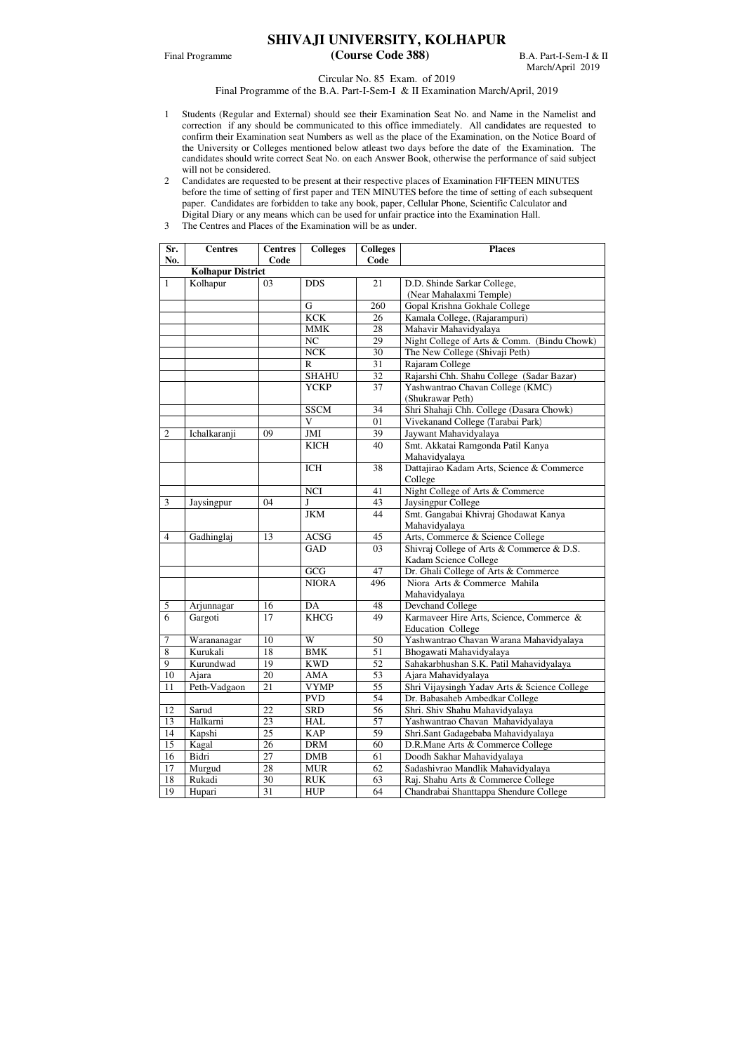## **SHIVAJI UNIVERSITY, KOLHAPUR**

## Final Programme **(Course Code 388)** B.A. Part-I-Sem-I & II

March/April 2019

Circular No. 85 Exam. of 2019

Final Programme of the B.A. Part-I-Sem-I & II Examination March/April, 2019

- 1 Students (Regular and External) should see their Examination Seat No. and Name in the Namelist and correction if any should be communicated to this office immediately. All candidates are requested to confirm their Examination seat Numbers as well as the place of the Examination, on the Notice Board of the University or Colleges mentioned below atleast two days before the date of the Examination. The candidates should write correct Seat No. on each Answer Book, otherwise the performance of said subject will not be considered.
- 2 Candidates are requested to be present at their respective places of Examination FIFTEEN MINUTES before the time of setting of first paper and TEN MINUTES before the time of setting of each subsequent paper. Candidates are forbidden to take any book, paper, Cellular Phone, Scientific Calculator and Digital Diary or any means which can be used for unfair practice into the Examination Hall.
- 3 The Centres and Places of the Examination will be as under.

| <b>Kolhapur District</b><br>$\mathbf{1}$<br>Kolhapur<br><b>DDS</b><br>21<br>D.D. Shinde Sarkar College,<br>03<br>(Near Mahalaxmi Temple)<br>Gopal Krishna Gokhale College<br>G<br>260<br><b>KCK</b><br>Kamala College, (Rajarampuri)<br>26<br><b>MMK</b><br>28<br>Mahavir Mahavidyalaya<br>NC<br>29<br>Night College of Arts & Comm. (Bindu Chowk)<br>The New College (Shivaji Peth)<br><b>NCK</b><br>30<br>31<br>Rajaram College<br>$\mathbf R$<br><b>SHAHU</b><br>32<br>Rajarshi Chh. Shahu College (Sadar Bazar)<br>37<br>Yashwantrao Chavan College (KMC)<br><b>YCKP</b><br>(Shukrawar Peth)<br>Shri Shahaji Chh. College (Dasara Chowk)<br><b>SSCM</b><br>34<br>$\overline{\mathbf{V}}$<br>01<br>Vivekanand College (Tarabai Park)<br>$\overline{2}$<br>Ichalkaranji<br>Jaywant Mahavidyalaya<br>09<br>JMI<br>39<br>Smt. Akkatai Ramgonda Patil Kanya<br><b>KICH</b><br>40<br>Mahavidyalaya<br>Dattajirao Kadam Arts, Science & Commerce<br><b>ICH</b><br>38<br>College<br>Night College of Arts & Commerce<br><b>NCI</b><br>41<br>$\overline{3}$<br>43<br>J<br>Jaysingpur College<br>Jaysingpur<br>04<br>Smt. Gangabai Khivraj Ghodawat Kanya<br><b>JKM</b><br>44<br>Mahavidyalaya<br>Arts, Commerce & Science College<br>$\overline{4}$<br>Gadhinglaj<br>13<br><b>ACSG</b><br>45<br><b>GAD</b><br>Shivraj College of Arts & Commerce & D.S.<br>03<br>Kadam Science College<br>Dr. Ghali College of Arts & Commerce<br>GCG<br>47<br>Niora Arts & Commerce Mahila<br><b>NIORA</b><br>496<br>Mahavidyalaya<br>5<br>Arjunnagar<br>16<br>DA<br>48<br>Devchand College<br>6<br>17<br>Karmaveer Hire Arts, Science, Commerce &<br><b>KHCG</b><br>49<br>Gargoti<br><b>Education College</b><br>$\boldsymbol{7}$<br>Yashwantrao Chavan Warana Mahavidyalaya<br>W<br>50<br>Warananagar<br>10<br>8<br>18<br>51<br><b>BMK</b><br>Kurukali<br>Bhogawati Mahavidyalaya<br>19<br>52<br>9<br>Kurundwad<br><b>KWD</b><br>Sahakarbhushan S.K. Patil Mahavidyalaya<br>53<br>10<br>20<br><b>AMA</b><br>Ajara<br>Ajara Mahavidyalaya<br>55<br>11<br>Peth-Vadgaon<br>21<br><b>VYMP</b><br>Shri Vijaysingh Yadav Arts & Science College<br><b>PVD</b><br>54<br>Dr. Babasaheb Ambedkar College<br>56<br>12<br>22<br>Sarud<br><b>SRD</b><br>Shri. Shiv Shahu Mahavidyalaya<br>57<br>Halkarni<br>Yashwantrao Chavan Mahavidyalaya<br>13<br>23<br><b>HAL</b><br>25<br>59<br>Kapshi<br><b>KAP</b><br>14<br>Shri.Sant Gadagebaba Mahavidyalaya<br>15<br>26<br>Kagal<br><b>DRM</b><br>60<br>D.R.Mane Arts & Commerce College<br>27<br>16<br>Bidri<br><b>DMB</b><br>Doodh Sakhar Mahavidyalaya<br>61<br>Sadashivrao Mandlik Mahavidyalaya<br>17<br>Murgud<br>62<br>28<br><b>MUR</b> | Sr.<br>No. | <b>Centres</b> | <b>Centres</b><br>Code | <b>Colleges</b> | <b>Colleges</b><br>Code | <b>Places</b> |
|-------------------------------------------------------------------------------------------------------------------------------------------------------------------------------------------------------------------------------------------------------------------------------------------------------------------------------------------------------------------------------------------------------------------------------------------------------------------------------------------------------------------------------------------------------------------------------------------------------------------------------------------------------------------------------------------------------------------------------------------------------------------------------------------------------------------------------------------------------------------------------------------------------------------------------------------------------------------------------------------------------------------------------------------------------------------------------------------------------------------------------------------------------------------------------------------------------------------------------------------------------------------------------------------------------------------------------------------------------------------------------------------------------------------------------------------------------------------------------------------------------------------------------------------------------------------------------------------------------------------------------------------------------------------------------------------------------------------------------------------------------------------------------------------------------------------------------------------------------------------------------------------------------------------------------------------------------------------------------------------------------------------------------------------------------------------------------------------------------------------------------------------------------------------------------------------------------------------------------------------------------------------------------------------------------------------------------------------------------------------------------------------------------------------------------------------------------------------------------------------------------------------------------------------------------------------------------------------------------------------------------------------------------------|------------|----------------|------------------------|-----------------|-------------------------|---------------|
|                                                                                                                                                                                                                                                                                                                                                                                                                                                                                                                                                                                                                                                                                                                                                                                                                                                                                                                                                                                                                                                                                                                                                                                                                                                                                                                                                                                                                                                                                                                                                                                                                                                                                                                                                                                                                                                                                                                                                                                                                                                                                                                                                                                                                                                                                                                                                                                                                                                                                                                                                                                                                                                             |            |                |                        |                 |                         |               |
|                                                                                                                                                                                                                                                                                                                                                                                                                                                                                                                                                                                                                                                                                                                                                                                                                                                                                                                                                                                                                                                                                                                                                                                                                                                                                                                                                                                                                                                                                                                                                                                                                                                                                                                                                                                                                                                                                                                                                                                                                                                                                                                                                                                                                                                                                                                                                                                                                                                                                                                                                                                                                                                             |            |                |                        |                 |                         |               |
|                                                                                                                                                                                                                                                                                                                                                                                                                                                                                                                                                                                                                                                                                                                                                                                                                                                                                                                                                                                                                                                                                                                                                                                                                                                                                                                                                                                                                                                                                                                                                                                                                                                                                                                                                                                                                                                                                                                                                                                                                                                                                                                                                                                                                                                                                                                                                                                                                                                                                                                                                                                                                                                             |            |                |                        |                 |                         |               |
|                                                                                                                                                                                                                                                                                                                                                                                                                                                                                                                                                                                                                                                                                                                                                                                                                                                                                                                                                                                                                                                                                                                                                                                                                                                                                                                                                                                                                                                                                                                                                                                                                                                                                                                                                                                                                                                                                                                                                                                                                                                                                                                                                                                                                                                                                                                                                                                                                                                                                                                                                                                                                                                             |            |                |                        |                 |                         |               |
|                                                                                                                                                                                                                                                                                                                                                                                                                                                                                                                                                                                                                                                                                                                                                                                                                                                                                                                                                                                                                                                                                                                                                                                                                                                                                                                                                                                                                                                                                                                                                                                                                                                                                                                                                                                                                                                                                                                                                                                                                                                                                                                                                                                                                                                                                                                                                                                                                                                                                                                                                                                                                                                             |            |                |                        |                 |                         |               |
|                                                                                                                                                                                                                                                                                                                                                                                                                                                                                                                                                                                                                                                                                                                                                                                                                                                                                                                                                                                                                                                                                                                                                                                                                                                                                                                                                                                                                                                                                                                                                                                                                                                                                                                                                                                                                                                                                                                                                                                                                                                                                                                                                                                                                                                                                                                                                                                                                                                                                                                                                                                                                                                             |            |                |                        |                 |                         |               |
|                                                                                                                                                                                                                                                                                                                                                                                                                                                                                                                                                                                                                                                                                                                                                                                                                                                                                                                                                                                                                                                                                                                                                                                                                                                                                                                                                                                                                                                                                                                                                                                                                                                                                                                                                                                                                                                                                                                                                                                                                                                                                                                                                                                                                                                                                                                                                                                                                                                                                                                                                                                                                                                             |            |                |                        |                 |                         |               |
|                                                                                                                                                                                                                                                                                                                                                                                                                                                                                                                                                                                                                                                                                                                                                                                                                                                                                                                                                                                                                                                                                                                                                                                                                                                                                                                                                                                                                                                                                                                                                                                                                                                                                                                                                                                                                                                                                                                                                                                                                                                                                                                                                                                                                                                                                                                                                                                                                                                                                                                                                                                                                                                             |            |                |                        |                 |                         |               |
|                                                                                                                                                                                                                                                                                                                                                                                                                                                                                                                                                                                                                                                                                                                                                                                                                                                                                                                                                                                                                                                                                                                                                                                                                                                                                                                                                                                                                                                                                                                                                                                                                                                                                                                                                                                                                                                                                                                                                                                                                                                                                                                                                                                                                                                                                                                                                                                                                                                                                                                                                                                                                                                             |            |                |                        |                 |                         |               |
|                                                                                                                                                                                                                                                                                                                                                                                                                                                                                                                                                                                                                                                                                                                                                                                                                                                                                                                                                                                                                                                                                                                                                                                                                                                                                                                                                                                                                                                                                                                                                                                                                                                                                                                                                                                                                                                                                                                                                                                                                                                                                                                                                                                                                                                                                                                                                                                                                                                                                                                                                                                                                                                             |            |                |                        |                 |                         |               |
|                                                                                                                                                                                                                                                                                                                                                                                                                                                                                                                                                                                                                                                                                                                                                                                                                                                                                                                                                                                                                                                                                                                                                                                                                                                                                                                                                                                                                                                                                                                                                                                                                                                                                                                                                                                                                                                                                                                                                                                                                                                                                                                                                                                                                                                                                                                                                                                                                                                                                                                                                                                                                                                             |            |                |                        |                 |                         |               |
|                                                                                                                                                                                                                                                                                                                                                                                                                                                                                                                                                                                                                                                                                                                                                                                                                                                                                                                                                                                                                                                                                                                                                                                                                                                                                                                                                                                                                                                                                                                                                                                                                                                                                                                                                                                                                                                                                                                                                                                                                                                                                                                                                                                                                                                                                                                                                                                                                                                                                                                                                                                                                                                             |            |                |                        |                 |                         |               |
|                                                                                                                                                                                                                                                                                                                                                                                                                                                                                                                                                                                                                                                                                                                                                                                                                                                                                                                                                                                                                                                                                                                                                                                                                                                                                                                                                                                                                                                                                                                                                                                                                                                                                                                                                                                                                                                                                                                                                                                                                                                                                                                                                                                                                                                                                                                                                                                                                                                                                                                                                                                                                                                             |            |                |                        |                 |                         |               |
|                                                                                                                                                                                                                                                                                                                                                                                                                                                                                                                                                                                                                                                                                                                                                                                                                                                                                                                                                                                                                                                                                                                                                                                                                                                                                                                                                                                                                                                                                                                                                                                                                                                                                                                                                                                                                                                                                                                                                                                                                                                                                                                                                                                                                                                                                                                                                                                                                                                                                                                                                                                                                                                             |            |                |                        |                 |                         |               |
|                                                                                                                                                                                                                                                                                                                                                                                                                                                                                                                                                                                                                                                                                                                                                                                                                                                                                                                                                                                                                                                                                                                                                                                                                                                                                                                                                                                                                                                                                                                                                                                                                                                                                                                                                                                                                                                                                                                                                                                                                                                                                                                                                                                                                                                                                                                                                                                                                                                                                                                                                                                                                                                             |            |                |                        |                 |                         |               |
|                                                                                                                                                                                                                                                                                                                                                                                                                                                                                                                                                                                                                                                                                                                                                                                                                                                                                                                                                                                                                                                                                                                                                                                                                                                                                                                                                                                                                                                                                                                                                                                                                                                                                                                                                                                                                                                                                                                                                                                                                                                                                                                                                                                                                                                                                                                                                                                                                                                                                                                                                                                                                                                             |            |                |                        |                 |                         |               |
|                                                                                                                                                                                                                                                                                                                                                                                                                                                                                                                                                                                                                                                                                                                                                                                                                                                                                                                                                                                                                                                                                                                                                                                                                                                                                                                                                                                                                                                                                                                                                                                                                                                                                                                                                                                                                                                                                                                                                                                                                                                                                                                                                                                                                                                                                                                                                                                                                                                                                                                                                                                                                                                             |            |                |                        |                 |                         |               |
|                                                                                                                                                                                                                                                                                                                                                                                                                                                                                                                                                                                                                                                                                                                                                                                                                                                                                                                                                                                                                                                                                                                                                                                                                                                                                                                                                                                                                                                                                                                                                                                                                                                                                                                                                                                                                                                                                                                                                                                                                                                                                                                                                                                                                                                                                                                                                                                                                                                                                                                                                                                                                                                             |            |                |                        |                 |                         |               |
|                                                                                                                                                                                                                                                                                                                                                                                                                                                                                                                                                                                                                                                                                                                                                                                                                                                                                                                                                                                                                                                                                                                                                                                                                                                                                                                                                                                                                                                                                                                                                                                                                                                                                                                                                                                                                                                                                                                                                                                                                                                                                                                                                                                                                                                                                                                                                                                                                                                                                                                                                                                                                                                             |            |                |                        |                 |                         |               |
|                                                                                                                                                                                                                                                                                                                                                                                                                                                                                                                                                                                                                                                                                                                                                                                                                                                                                                                                                                                                                                                                                                                                                                                                                                                                                                                                                                                                                                                                                                                                                                                                                                                                                                                                                                                                                                                                                                                                                                                                                                                                                                                                                                                                                                                                                                                                                                                                                                                                                                                                                                                                                                                             |            |                |                        |                 |                         |               |
|                                                                                                                                                                                                                                                                                                                                                                                                                                                                                                                                                                                                                                                                                                                                                                                                                                                                                                                                                                                                                                                                                                                                                                                                                                                                                                                                                                                                                                                                                                                                                                                                                                                                                                                                                                                                                                                                                                                                                                                                                                                                                                                                                                                                                                                                                                                                                                                                                                                                                                                                                                                                                                                             |            |                |                        |                 |                         |               |
|                                                                                                                                                                                                                                                                                                                                                                                                                                                                                                                                                                                                                                                                                                                                                                                                                                                                                                                                                                                                                                                                                                                                                                                                                                                                                                                                                                                                                                                                                                                                                                                                                                                                                                                                                                                                                                                                                                                                                                                                                                                                                                                                                                                                                                                                                                                                                                                                                                                                                                                                                                                                                                                             |            |                |                        |                 |                         |               |
|                                                                                                                                                                                                                                                                                                                                                                                                                                                                                                                                                                                                                                                                                                                                                                                                                                                                                                                                                                                                                                                                                                                                                                                                                                                                                                                                                                                                                                                                                                                                                                                                                                                                                                                                                                                                                                                                                                                                                                                                                                                                                                                                                                                                                                                                                                                                                                                                                                                                                                                                                                                                                                                             |            |                |                        |                 |                         |               |
|                                                                                                                                                                                                                                                                                                                                                                                                                                                                                                                                                                                                                                                                                                                                                                                                                                                                                                                                                                                                                                                                                                                                                                                                                                                                                                                                                                                                                                                                                                                                                                                                                                                                                                                                                                                                                                                                                                                                                                                                                                                                                                                                                                                                                                                                                                                                                                                                                                                                                                                                                                                                                                                             |            |                |                        |                 |                         |               |
|                                                                                                                                                                                                                                                                                                                                                                                                                                                                                                                                                                                                                                                                                                                                                                                                                                                                                                                                                                                                                                                                                                                                                                                                                                                                                                                                                                                                                                                                                                                                                                                                                                                                                                                                                                                                                                                                                                                                                                                                                                                                                                                                                                                                                                                                                                                                                                                                                                                                                                                                                                                                                                                             |            |                |                        |                 |                         |               |
|                                                                                                                                                                                                                                                                                                                                                                                                                                                                                                                                                                                                                                                                                                                                                                                                                                                                                                                                                                                                                                                                                                                                                                                                                                                                                                                                                                                                                                                                                                                                                                                                                                                                                                                                                                                                                                                                                                                                                                                                                                                                                                                                                                                                                                                                                                                                                                                                                                                                                                                                                                                                                                                             |            |                |                        |                 |                         |               |
|                                                                                                                                                                                                                                                                                                                                                                                                                                                                                                                                                                                                                                                                                                                                                                                                                                                                                                                                                                                                                                                                                                                                                                                                                                                                                                                                                                                                                                                                                                                                                                                                                                                                                                                                                                                                                                                                                                                                                                                                                                                                                                                                                                                                                                                                                                                                                                                                                                                                                                                                                                                                                                                             |            |                |                        |                 |                         |               |
|                                                                                                                                                                                                                                                                                                                                                                                                                                                                                                                                                                                                                                                                                                                                                                                                                                                                                                                                                                                                                                                                                                                                                                                                                                                                                                                                                                                                                                                                                                                                                                                                                                                                                                                                                                                                                                                                                                                                                                                                                                                                                                                                                                                                                                                                                                                                                                                                                                                                                                                                                                                                                                                             |            |                |                        |                 |                         |               |
|                                                                                                                                                                                                                                                                                                                                                                                                                                                                                                                                                                                                                                                                                                                                                                                                                                                                                                                                                                                                                                                                                                                                                                                                                                                                                                                                                                                                                                                                                                                                                                                                                                                                                                                                                                                                                                                                                                                                                                                                                                                                                                                                                                                                                                                                                                                                                                                                                                                                                                                                                                                                                                                             |            |                |                        |                 |                         |               |
|                                                                                                                                                                                                                                                                                                                                                                                                                                                                                                                                                                                                                                                                                                                                                                                                                                                                                                                                                                                                                                                                                                                                                                                                                                                                                                                                                                                                                                                                                                                                                                                                                                                                                                                                                                                                                                                                                                                                                                                                                                                                                                                                                                                                                                                                                                                                                                                                                                                                                                                                                                                                                                                             |            |                |                        |                 |                         |               |
|                                                                                                                                                                                                                                                                                                                                                                                                                                                                                                                                                                                                                                                                                                                                                                                                                                                                                                                                                                                                                                                                                                                                                                                                                                                                                                                                                                                                                                                                                                                                                                                                                                                                                                                                                                                                                                                                                                                                                                                                                                                                                                                                                                                                                                                                                                                                                                                                                                                                                                                                                                                                                                                             |            |                |                        |                 |                         |               |
|                                                                                                                                                                                                                                                                                                                                                                                                                                                                                                                                                                                                                                                                                                                                                                                                                                                                                                                                                                                                                                                                                                                                                                                                                                                                                                                                                                                                                                                                                                                                                                                                                                                                                                                                                                                                                                                                                                                                                                                                                                                                                                                                                                                                                                                                                                                                                                                                                                                                                                                                                                                                                                                             |            |                |                        |                 |                         |               |
|                                                                                                                                                                                                                                                                                                                                                                                                                                                                                                                                                                                                                                                                                                                                                                                                                                                                                                                                                                                                                                                                                                                                                                                                                                                                                                                                                                                                                                                                                                                                                                                                                                                                                                                                                                                                                                                                                                                                                                                                                                                                                                                                                                                                                                                                                                                                                                                                                                                                                                                                                                                                                                                             |            |                |                        |                 |                         |               |
|                                                                                                                                                                                                                                                                                                                                                                                                                                                                                                                                                                                                                                                                                                                                                                                                                                                                                                                                                                                                                                                                                                                                                                                                                                                                                                                                                                                                                                                                                                                                                                                                                                                                                                                                                                                                                                                                                                                                                                                                                                                                                                                                                                                                                                                                                                                                                                                                                                                                                                                                                                                                                                                             |            |                |                        |                 |                         |               |
|                                                                                                                                                                                                                                                                                                                                                                                                                                                                                                                                                                                                                                                                                                                                                                                                                                                                                                                                                                                                                                                                                                                                                                                                                                                                                                                                                                                                                                                                                                                                                                                                                                                                                                                                                                                                                                                                                                                                                                                                                                                                                                                                                                                                                                                                                                                                                                                                                                                                                                                                                                                                                                                             |            |                |                        |                 |                         |               |
|                                                                                                                                                                                                                                                                                                                                                                                                                                                                                                                                                                                                                                                                                                                                                                                                                                                                                                                                                                                                                                                                                                                                                                                                                                                                                                                                                                                                                                                                                                                                                                                                                                                                                                                                                                                                                                                                                                                                                                                                                                                                                                                                                                                                                                                                                                                                                                                                                                                                                                                                                                                                                                                             |            |                |                        |                 |                         |               |
|                                                                                                                                                                                                                                                                                                                                                                                                                                                                                                                                                                                                                                                                                                                                                                                                                                                                                                                                                                                                                                                                                                                                                                                                                                                                                                                                                                                                                                                                                                                                                                                                                                                                                                                                                                                                                                                                                                                                                                                                                                                                                                                                                                                                                                                                                                                                                                                                                                                                                                                                                                                                                                                             |            |                |                        |                 |                         |               |
|                                                                                                                                                                                                                                                                                                                                                                                                                                                                                                                                                                                                                                                                                                                                                                                                                                                                                                                                                                                                                                                                                                                                                                                                                                                                                                                                                                                                                                                                                                                                                                                                                                                                                                                                                                                                                                                                                                                                                                                                                                                                                                                                                                                                                                                                                                                                                                                                                                                                                                                                                                                                                                                             |            |                |                        |                 |                         |               |
|                                                                                                                                                                                                                                                                                                                                                                                                                                                                                                                                                                                                                                                                                                                                                                                                                                                                                                                                                                                                                                                                                                                                                                                                                                                                                                                                                                                                                                                                                                                                                                                                                                                                                                                                                                                                                                                                                                                                                                                                                                                                                                                                                                                                                                                                                                                                                                                                                                                                                                                                                                                                                                                             |            |                |                        |                 |                         |               |
|                                                                                                                                                                                                                                                                                                                                                                                                                                                                                                                                                                                                                                                                                                                                                                                                                                                                                                                                                                                                                                                                                                                                                                                                                                                                                                                                                                                                                                                                                                                                                                                                                                                                                                                                                                                                                                                                                                                                                                                                                                                                                                                                                                                                                                                                                                                                                                                                                                                                                                                                                                                                                                                             |            |                |                        |                 |                         |               |
|                                                                                                                                                                                                                                                                                                                                                                                                                                                                                                                                                                                                                                                                                                                                                                                                                                                                                                                                                                                                                                                                                                                                                                                                                                                                                                                                                                                                                                                                                                                                                                                                                                                                                                                                                                                                                                                                                                                                                                                                                                                                                                                                                                                                                                                                                                                                                                                                                                                                                                                                                                                                                                                             |            |                |                        |                 |                         |               |
|                                                                                                                                                                                                                                                                                                                                                                                                                                                                                                                                                                                                                                                                                                                                                                                                                                                                                                                                                                                                                                                                                                                                                                                                                                                                                                                                                                                                                                                                                                                                                                                                                                                                                                                                                                                                                                                                                                                                                                                                                                                                                                                                                                                                                                                                                                                                                                                                                                                                                                                                                                                                                                                             |            |                |                        |                 |                         |               |
|                                                                                                                                                                                                                                                                                                                                                                                                                                                                                                                                                                                                                                                                                                                                                                                                                                                                                                                                                                                                                                                                                                                                                                                                                                                                                                                                                                                                                                                                                                                                                                                                                                                                                                                                                                                                                                                                                                                                                                                                                                                                                                                                                                                                                                                                                                                                                                                                                                                                                                                                                                                                                                                             |            |                |                        |                 |                         |               |
| 18<br>63<br>Rukadi<br>30<br><b>RUK</b><br>Raj. Shahu Arts & Commerce College                                                                                                                                                                                                                                                                                                                                                                                                                                                                                                                                                                                                                                                                                                                                                                                                                                                                                                                                                                                                                                                                                                                                                                                                                                                                                                                                                                                                                                                                                                                                                                                                                                                                                                                                                                                                                                                                                                                                                                                                                                                                                                                                                                                                                                                                                                                                                                                                                                                                                                                                                                                |            |                |                        |                 |                         |               |
| 19<br>31<br>64<br>Chandrabai Shanttappa Shendure College<br>Hupari<br><b>HUP</b>                                                                                                                                                                                                                                                                                                                                                                                                                                                                                                                                                                                                                                                                                                                                                                                                                                                                                                                                                                                                                                                                                                                                                                                                                                                                                                                                                                                                                                                                                                                                                                                                                                                                                                                                                                                                                                                                                                                                                                                                                                                                                                                                                                                                                                                                                                                                                                                                                                                                                                                                                                            |            |                |                        |                 |                         |               |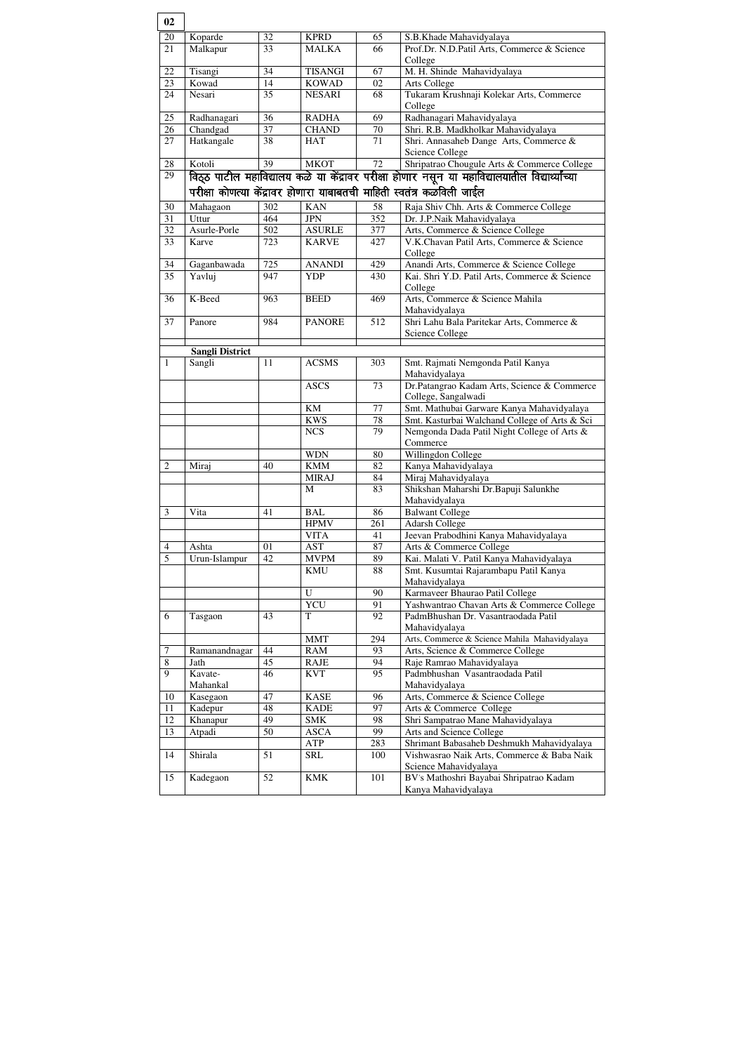| 02             |                        |                 |                 |                 |                                                                                                  |
|----------------|------------------------|-----------------|-----------------|-----------------|--------------------------------------------------------------------------------------------------|
| $20\,$         | Koparde                | 32              | <b>KPRD</b>     | 65              | S.B.Khade Mahavidyalaya                                                                          |
| 21             | Malkapur               | $\overline{33}$ | <b>MALKA</b>    | 66              | Prof.Dr. N.D.Patil Arts, Commerce & Science                                                      |
|                |                        |                 |                 |                 | College                                                                                          |
| 22             | Tisangi                | 34              | <b>TISANGI</b>  | 67              | M. H. Shinde Mahavidyalaya                                                                       |
| 23             | Kowad                  | 14              | <b>KOWAD</b>    | 02              | Arts College                                                                                     |
| 24             | Nesari                 | 35              | <b>NESARI</b>   | 68              | Tukaram Krushnaji Kolekar Arts, Commerce<br>College                                              |
| 25             | Radhanagari            | 36              | <b>RADHA</b>    | 69              | Radhanagari Mahavidyalaya                                                                        |
| 26             | Chandgad               | 37              | <b>CHAND</b>    | 70              | Shri. R.B. Madkholkar Mahavidyalaya                                                              |
| 27             | Hatkangale             | 38              | <b>HAT</b>      | 71              | Shri. Annasaheb Dange Arts, Commerce &                                                           |
|                |                        |                 |                 |                 | <b>Science College</b>                                                                           |
| 28             | Kotoli                 | 39              | <b>MKOT</b>     | 72              | Shripatrao Chougule Arts & Commerce College                                                      |
| 29             |                        |                 |                 |                 | विठ्ठ पाटील महाविद्यालय कळे या केंद्रावर परीक्षा होणार नसून या महाविद्यालयातील विद्यार्थ्यांच्या |
|                |                        |                 |                 |                 | परीक्षा कोणत्या केंद्रावर होणारा याबाबतची माहिती स्वतंत्र कळविली जाईल                            |
|                |                        |                 |                 |                 |                                                                                                  |
| 30             | Mahagaon               | 302             | <b>KAN</b>      | 58              | Raja Shiv Chh. Arts & Commerce College                                                           |
| 31             | Uttur                  | 464             | <b>JPN</b>      | 352             | Dr. J.P.Naik Mahavidyalaya                                                                       |
| 32             | Asurle-Porle           | 502             | <b>ASURLE</b>   | 377             | Arts, Commerce & Science College                                                                 |
| 33             | Karve                  | 723             | <b>KARVE</b>    | 427             | V.K.Chavan Patil Arts, Commerce & Science<br>College                                             |
| 34             | Gaganbawada            | 725             | <b>ANANDI</b>   | 429             | Anandi Arts, Commerce & Science College                                                          |
| 35             | Yavluj                 | 947             | <b>YDP</b>      | 430             | Kai. Shri Y.D. Patil Arts, Commerce & Science                                                    |
|                |                        |                 |                 |                 | College                                                                                          |
| 36             | K-Beed                 | 963             | <b>BEED</b>     | 469             | Arts, Commerce & Science Mahila<br>Mahavidyalaya                                                 |
| 37             | Panore                 | 984             | <b>PANORE</b>   | 512             | Shri Lahu Bala Paritekar Arts, Commerce &                                                        |
|                |                        |                 |                 |                 | Science College                                                                                  |
|                | <b>Sangli District</b> |                 |                 |                 |                                                                                                  |
| $\mathbf{1}$   | Sangli                 | 11              | <b>ACSMS</b>    | 303             | Smt. Rajmati Nemgonda Patil Kanya                                                                |
|                |                        |                 |                 |                 | Mahavidyalaya                                                                                    |
|                |                        |                 | <b>ASCS</b>     | 73              | Dr.Patangrao Kadam Arts, Science & Commerce                                                      |
|                |                        |                 |                 |                 | College, Sangalwadi                                                                              |
|                |                        |                 | KM              | 77              | Smt. Mathubai Garware Kanya Mahavidyalaya                                                        |
|                |                        |                 | <b>KWS</b>      | 78              | Smt. Kasturbai Walchand College of Arts & Sci                                                    |
|                |                        |                 | <b>NCS</b>      | 79              | Nemgonda Dada Patil Night College of Arts &                                                      |
|                |                        |                 |                 |                 | Commerce                                                                                         |
|                |                        |                 | <b>WDN</b>      | 80              | Willingdon College                                                                               |
| $\overline{2}$ | Miraj                  | 40              | <b>KMM</b>      | 82              | Kanya Mahavidyalaya                                                                              |
|                |                        |                 | <b>MIRAJ</b>    | 84              | Miraj Mahavidyalaya                                                                              |
|                |                        |                 | M               | 83              | Shikshan Maharshi Dr.Bapuji Salunkhe                                                             |
|                |                        |                 |                 |                 | Mahavidyalaya                                                                                    |
| $\mathfrak{Z}$ | Vita                   | 41              | <b>BAL</b>      | 86              | <b>Balwant College</b>                                                                           |
|                |                        |                 | <b>HPMV</b>     | 261             | <b>Adarsh College</b>                                                                            |
|                |                        |                 | <b>VITA</b>     | 41              | Jeevan Prabodhini Kanya Mahavidyalaya                                                            |
| $\overline{4}$ | Ashta                  | 01              | <b>AST</b>      | 87              | Arts & Commerce College                                                                          |
| $\overline{5}$ | Urun-Islampur          | 42              | <b>MVPM</b>     | 89              | Kai. Malati V. Patil Kanya Mahavidyalaya                                                         |
|                |                        |                 | <b>KMU</b>      | 88              | Smt. Kusumtai Rajarambapu Patil Kanya                                                            |
|                |                        |                 |                 |                 | Mahavidyalaya                                                                                    |
|                |                        |                 | U               | 90              | Karmaveer Bhaurao Patil College                                                                  |
| 6              |                        | 43              | <b>YCU</b><br>T | 91<br>92        | Yashwantrao Chavan Arts & Commerce College<br>PadmBhushan Dr. Vasantraodada Patil                |
|                | Tasgaon                |                 |                 |                 | Mahavidyalaya                                                                                    |
|                |                        |                 | <b>MMT</b>      | 294             | Arts, Commerce & Science Mahila Mahavidyalaya                                                    |
| $\tau$         | Ramanandnagar          | 44              | <b>RAM</b>      | 93              | Arts, Science & Commerce College                                                                 |
| $\overline{8}$ | Jath                   | 45              | <b>RAJE</b>     | 94              | Raje Ramrao Mahavidyalaya                                                                        |
| 9              | Kavate-                | 46              | <b>KVT</b>      | $\overline{95}$ | Padmbhushan Vasantraodada Patil                                                                  |
|                | Mahankal               |                 |                 |                 | Mahavidyalaya                                                                                    |
| 10             | Kasegaon               | 47              | <b>KASE</b>     | 96              | Arts, Commerce & Science College                                                                 |
| 11             | Kadepur                | 48              | <b>KADE</b>     | 97              | Arts & Commerce College                                                                          |
| 12             | Khanapur               | 49              | <b>SMK</b>      | 98              | Shri Sampatrao Mane Mahavidyalaya                                                                |
| 13             | Atpadi                 | 50              | <b>ASCA</b>     | 99              | Arts and Science College                                                                         |
|                |                        |                 | ATP             | 283             | Shrimant Babasaheb Deshmukh Mahavidyalaya                                                        |
| 14             | Shirala                | 51              | <b>SRL</b>      | 100             | Vishwasrao Naik Arts, Commerce & Baba Naik                                                       |
|                |                        |                 |                 |                 | Science Mahavidyalaya                                                                            |
| 15             | Kadegaon               | 52              | <b>KMK</b>      | 101             | BV's Mathoshri Bayabai Shripatrao Kadam                                                          |
|                |                        |                 |                 |                 | Kanya Mahavidyalaya                                                                              |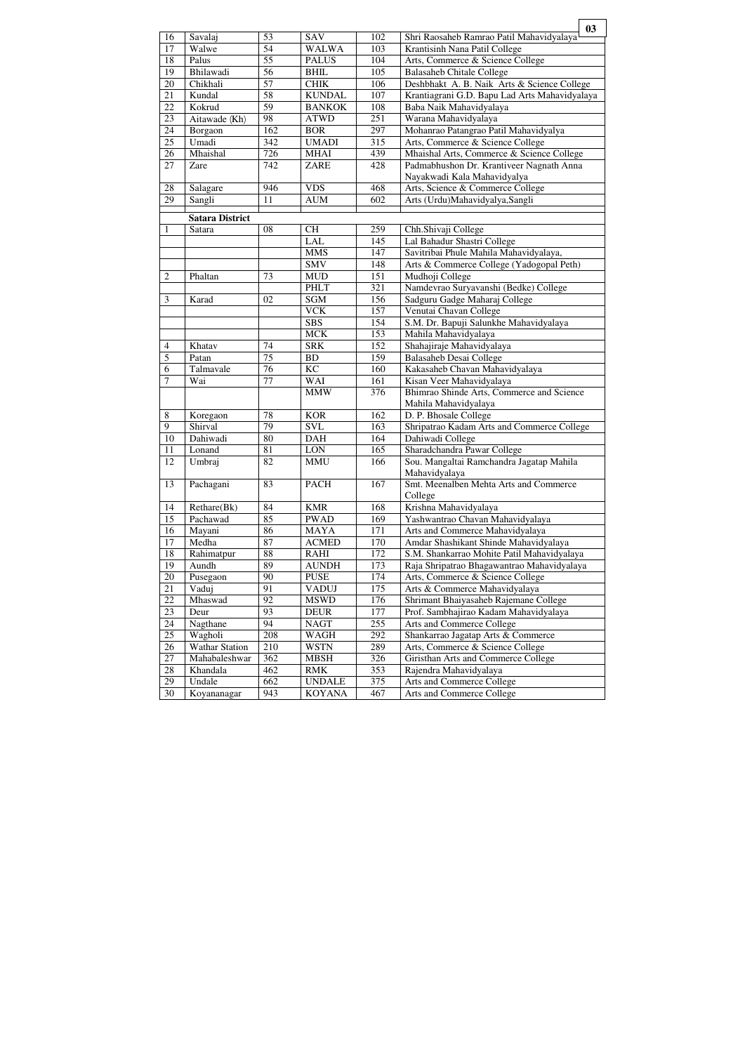|                  |                        |                 |               |     | 03                                            |
|------------------|------------------------|-----------------|---------------|-----|-----------------------------------------------|
| 16               | Savalaj                | 53              | <b>SAV</b>    | 102 | Shri Raosaheb Ramrao Patil Mahavidyalaya      |
| 17               | Walwe                  | $\overline{54}$ | <b>WALWA</b>  | 103 | Krantisinh Nana Patil College                 |
| 18               | Palus                  | 55              | <b>PALUS</b>  | 104 | Arts, Commerce & Science College              |
| 19               | Bhilawadi              | 56              | <b>BHIL</b>   | 105 | Balasaheb Chitale College                     |
| 20               | Chikhali               | $\overline{57}$ | <b>CHIK</b>   | 106 | Deshbhakt A. B. Naik Arts & Science College   |
| 21               | Kundal                 | 58              | <b>KUNDAL</b> | 107 | Krantiagrani G.D. Bapu Lad Arts Mahavidyalaya |
| 22               | Kokrud                 | $\overline{59}$ | <b>BANKOK</b> | 108 | Baba Naik Mahavidyalaya                       |
| 23               | Aitawade (Kh)          | 98              | <b>ATWD</b>   | 251 | Warana Mahavidyalaya                          |
| 24               | Borgaon                | 162             | <b>BOR</b>    | 297 | Mohanrao Patangrao Patil Mahavidyalya         |
| $\overline{25}$  | Umadi                  | 342             | <b>UMADI</b>  | 315 | Arts, Commerce & Science College              |
| $\overline{26}$  | Mhaishal               | 726             | <b>MHAI</b>   | 439 | Mhaishal Arts, Commerce & Science College     |
| 27               | Zare                   | 742             | <b>ZARE</b>   | 428 | Padmabhushon Dr. Krantiveer Nagnath Anna      |
|                  |                        |                 |               |     | Nayakwadi Kala Mahavidyalya                   |
| 28               | Salagare               | 946             | <b>VDS</b>    | 468 | Arts, Science & Commerce College              |
| 29               | Sangli                 | 11              | <b>AUM</b>    | 602 | Arts (Urdu)Mahavidyalya,Sangli                |
|                  |                        |                 |               |     |                                               |
|                  | <b>Satara District</b> |                 |               |     |                                               |
| 1                | Satara                 | 08              | <b>CH</b>     | 259 | Chh.Shivaji College                           |
|                  |                        |                 | <b>LAL</b>    | 145 | Lal Bahadur Shastri College                   |
|                  |                        |                 | <b>MMS</b>    | 147 | Savitribai Phule Mahila Mahavidyalaya,        |
|                  |                        |                 | <b>SMV</b>    | 148 | Arts & Commerce College (Yadogopal Peth)      |
| $\sqrt{2}$       | Phaltan                | 73              | <b>MUD</b>    | 151 | Mudhoji College                               |
|                  |                        |                 | <b>PHLT</b>   | 321 | Namdevrao Suryavanshi (Bedke) College         |
| 3                | Karad                  | 02              | <b>SGM</b>    | 156 | Sadguru Gadge Maharaj College                 |
|                  |                        |                 | <b>VCK</b>    | 157 | Venutai Chavan College                        |
|                  |                        |                 | <b>SBS</b>    | 154 | S.M. Dr. Bapuji Salunkhe Mahavidyalaya        |
|                  |                        |                 | <b>MCK</b>    | 153 | Mahila Mahavidyalaya                          |
| $\overline{4}$   | Khatav                 | 74              | <b>SRK</b>    | 152 | Shahajiraje Mahavidyalaya                     |
| $\overline{5}$   | Patan                  | 75              | <b>BD</b>     | 159 | <b>Balasaheb Desai College</b>                |
| 6                | Talmavale              | 76              | <b>KC</b>     | 160 | Kakasaheb Chavan Mahavidyalaya                |
| $\overline{7}$   | Wai                    | 77              | <b>WAI</b>    | 161 | Kisan Veer Mahavidyalaya                      |
|                  |                        |                 | <b>MMW</b>    | 376 | Bhimrao Shinde Arts, Commerce and Science     |
|                  |                        |                 |               |     | Mahila Mahavidyalaya                          |
| $\overline{8}$   | Koregaon               | 78              | <b>KOR</b>    | 162 | D. P. Bhosale College                         |
| $\boldsymbol{9}$ | Shirval                | 79              | <b>SVL</b>    | 163 | Shripatrao Kadam Arts and Commerce College    |
| 10               | Dahiwadi               | 80              | <b>DAH</b>    | 164 | Dahiwadi College                              |
| 11               | Lonand                 | 81              | $\rm{LON}$    | 165 | Sharadchandra Pawar College                   |
| 12               | Umbraj                 | 82              | <b>MMU</b>    | 166 | Sou. Mangaltai Ramchandra Jagatap Mahila      |
|                  |                        |                 |               |     | Mahavidyalaya                                 |
| 13               | Pachagani              | 83              | <b>PACH</b>   | 167 | Smt. Meenalben Mehta Arts and Commerce        |
|                  |                        |                 |               |     | College                                       |
| 14               | Rethare(Bk)            | 84              | <b>KMR</b>    | 168 | Krishna Mahavidyalaya                         |
| 15               | Pachawad               | 85              | <b>PWAD</b>   | 169 | Yashwantrao Chavan Mahavidyalaya              |
| 16               | Mayani                 | 86              | <b>MAYA</b>   | 171 | Arts and Commerce Mahavidyalaya               |
| 17               | Medha                  | 87              | <b>ACMED</b>  | 170 | Amdar Shashikant Shinde Mahavidyalaya         |
| 18               | Rahimatpur             | 88              | <b>RAHI</b>   | 172 | S.M. Shankarrao Mohite Patil Mahavidyalaya    |
| 19               | Aundh                  | 89              | <b>AUNDH</b>  | 173 | Raja Shripatrao Bhagawantrao Mahavidyalaya    |
| 20               | Pusegaon               | 90              | <b>PUSE</b>   | 174 | Arts, Commerce & Science College              |
| 21               | Vaduj                  | 91              | <b>VADUJ</b>  | 175 | Arts & Commerce Mahavidyalaya                 |
| 22               | Mhaswad                | 92              | <b>MSWD</b>   | 176 | Shrimant Bhaiyasaheb Rajemane College         |
| 23               | Deur                   | 93              | <b>DEUR</b>   | 177 |                                               |
|                  |                        | 94              |               |     | Prof. Sambhajirao Kadam Mahavidyalaya         |
| 24               | Nagthane               |                 | <b>NAGT</b>   | 255 | Arts and Commerce College                     |
| 25               | Wagholi                | 208             | <b>WAGH</b>   | 292 | Shankarrao Jagatap Arts & Commerce            |
| 26               | <b>Wathar Station</b>  | 210             | <b>WSTN</b>   | 289 | Arts, Commerce & Science College              |
| 27               | Mahabaleshwar          | 362             | <b>MBSH</b>   | 326 | Giristhan Arts and Commerce College           |
| 28               | Khandala               | 462             | <b>RMK</b>    | 353 | Rajendra Mahavidyalaya                        |
| 29               | Undale                 | 662             | <b>UNDALE</b> | 375 | Arts and Commerce College                     |
| 30               | Koyananagar            | 943             | <b>KOYANA</b> | 467 | Arts and Commerce College                     |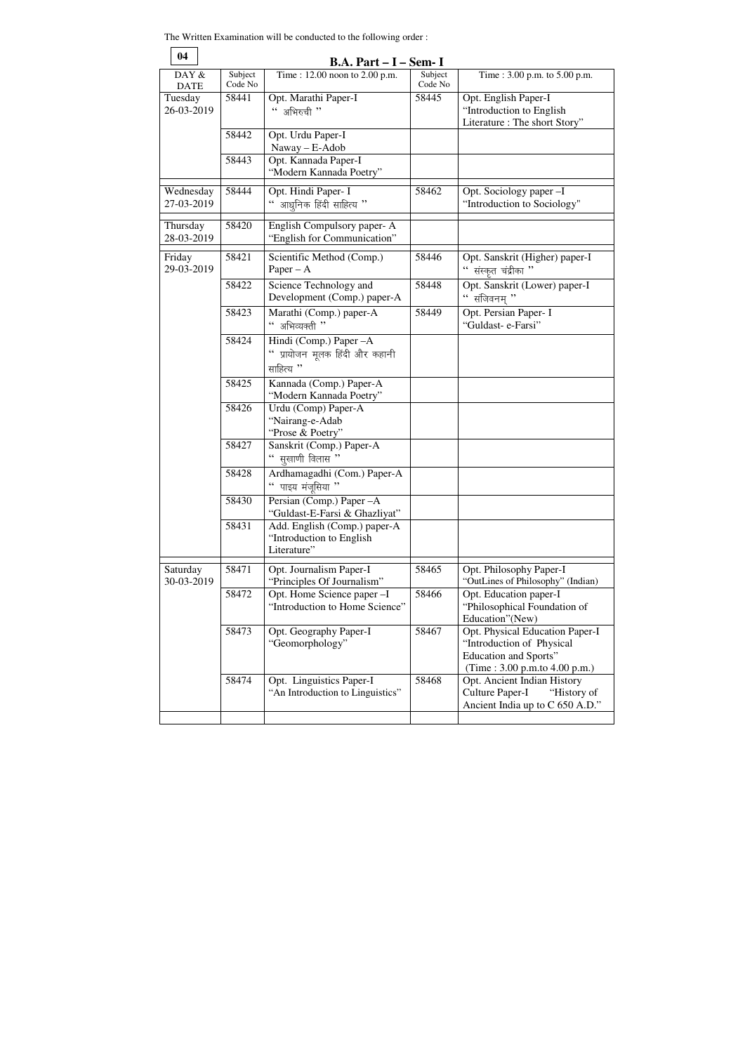The Written Examination will be conducted to the following order :

| 04                      |                    | $B.A. Part - I - Sem - I$                                                                           |                    |                                                                                                                        |
|-------------------------|--------------------|-----------------------------------------------------------------------------------------------------|--------------------|------------------------------------------------------------------------------------------------------------------------|
| DAY &<br><b>DATE</b>    | Subject<br>Code No | Time: 12.00 noon to 2.00 p.m.                                                                       | Subject<br>Code No | Time: 3.00 p.m. to 5.00 p.m.                                                                                           |
| Tuesday<br>26-03-2019   | 58441              | Opt. Marathi Paper-I<br>अभिरुची "                                                                   | 58445              | Opt. English Paper-I<br>"Introduction to English"<br>Literature : The short Story"                                     |
|                         | 58442              | Opt. Urdu Paper-I<br>Naway - E-Adob                                                                 |                    |                                                                                                                        |
|                         | 58443              | Opt. Kannada Paper-I<br>"Modern Kannada Poetry"                                                     |                    |                                                                                                                        |
| Wednesday<br>27-03-2019 | 58444              | Opt. Hindi Paper- I<br>" आधुनिक हिंदी साहित्य $"$                                                   | 58462              | Opt. Sociology paper-I<br>"Introduction to Sociology"                                                                  |
| Thursday<br>28-03-2019  | 58420              | English Compulsory paper-A<br>"English for Communication"                                           |                    |                                                                                                                        |
| Friday<br>29-03-2019    | 58421              | Scientific Method (Comp.)<br>Paper $- A$                                                            | 58446              | Opt. Sanskrit (Higher) paper-I<br>" संस्कृत चंद्रीका $"$                                                               |
|                         | 58422              | Science Technology and<br>Development (Comp.) paper-A                                               | 58448              | Opt. Sanskrit (Lower) paper-I<br>$``$ संजिवनम् $"$                                                                     |
|                         | 58423              | Marathi (Comp.) paper-A<br>" अभिव्यक्ती"                                                            | 58449              | Opt. Persian Paper- I<br>"Guldast- e-Farsi"                                                                            |
|                         | 58424              | Hindi (Comp.) Paper - A<br>" प्रायोजन मूलक हिंदी और कहानी<br>साहित्य "                              |                    |                                                                                                                        |
|                         | 58425              | Kannada (Comp.) Paper-A<br>"Modern Kannada Poetry"                                                  |                    |                                                                                                                        |
|                         | 58426              | Urdu (Comp) Paper-A<br>"Nairang-e-Adab<br>"Prose & Poetry"                                          |                    |                                                                                                                        |
|                         | 58427              | Sanskrit (Comp.) Paper-A<br>सूखाणी विलास "                                                          |                    |                                                                                                                        |
|                         | 58428              | Ardhamagadhi (Com.) Paper-A<br>पाइय मंजुसिया "<br>$\boldsymbol{\varsigma}$ $\boldsymbol{\varsigma}$ |                    |                                                                                                                        |
|                         | 58430              | Persian (Comp.) Paper - A<br>"Guldast-E-Farsi & Ghazliyat"                                          |                    |                                                                                                                        |
|                         | 58431              | Add. English (Comp.) paper-A<br>"Introduction to English<br>Literature"                             |                    |                                                                                                                        |
| Saturday<br>30-03-2019  | 58471              | Opt. Journalism Paper-I<br>"Principles Of Journalism"                                               | 58465              | Opt. Philosophy Paper-I<br>"OutLines of Philosophy" (Indian)                                                           |
|                         | 58472              | Opt. Home Science paper -I<br>"Introduction to Home Science"                                        | 58466              | Opt. Education paper-I<br>"Philosophical Foundation of<br>Education"(New)                                              |
|                         | 58473              | Opt. Geography Paper-I<br>"Geomorphology"                                                           | 58467              | Opt. Physical Education Paper-I<br>"Introduction of Physical<br>Education and Sports"<br>(Time: 3.00 p.m.to 4.00 p.m.) |
|                         | 58474              | Opt. Linguistics Paper-I<br>"An Introduction to Linguistics"                                        | 58468              | Opt. Ancient Indian History<br><b>Culture Paper-I</b><br>"History of<br>Ancient India up to C 650 A.D."                |
|                         |                    |                                                                                                     |                    |                                                                                                                        |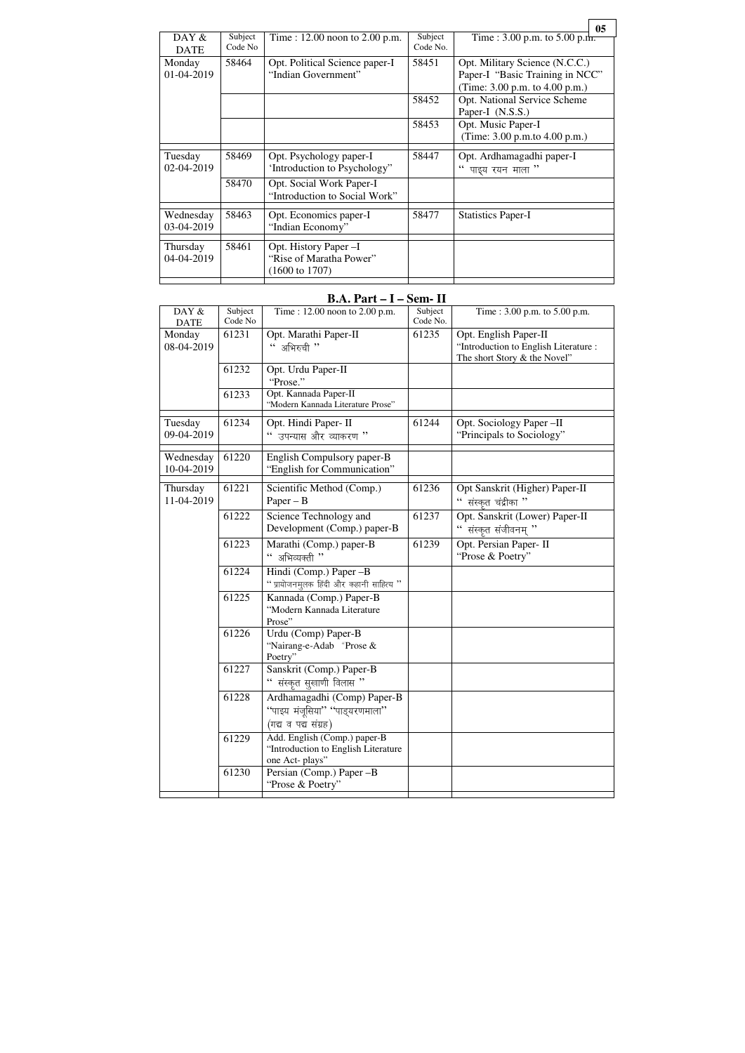## **B.A. Part – I – Sem- II**

|                         |                    |                                                                               |                     |                                                                                                         | 05 |
|-------------------------|--------------------|-------------------------------------------------------------------------------|---------------------|---------------------------------------------------------------------------------------------------------|----|
| DAY $\&$<br><b>DATE</b> | Subject<br>Code No | Time : $12.00$ noon to $2.00$ p.m.                                            | Subject<br>Code No. | Time : 3.00 p.m. to 5.00 p.m.                                                                           |    |
| Monday<br>01-04-2019    | 58464              | Opt. Political Science paper-I<br>"Indian Government"                         | 58451               | Opt. Military Science (N.C.C.)<br>Paper-I "Basic Training in NCC"<br>(Time: $3.00$ p.m. to $4.00$ p.m.) |    |
|                         |                    |                                                                               | 58452               | <b>Opt. National Service Scheme</b><br>Paper-I (N.S.S.)                                                 |    |
|                         |                    |                                                                               | 58453               | Opt. Music Paper-I<br>(Time: 3.00 p.m.to 4.00 p.m.)                                                     |    |
| Tuesday<br>02-04-2019   | 58469              | Opt. Psychology paper-I<br>'Introduction to Psychology"                       | 58447               | Opt. Ardhamagadhi paper-I<br>पाइय रयन माला ''                                                           |    |
|                         | 58470              | Opt. Social Work Paper-I<br>"Introduction to Social Work"                     |                     |                                                                                                         |    |
| Wednesday<br>03-04-2019 | 58463              | Opt. Economics paper-I<br>"Indian Economy"                                    | 58477               | <b>Statistics Paper-I</b>                                                                               |    |
| Thursday<br>04-04-2019  | 58461              | Opt. History Paper -I<br>"Rise of Maratha Power"<br>$(1600 \text{ to } 1707)$ |                     |                                                                                                         |    |

 $\overline{\phantom{0}}$ 

п

| DAY &<br><b>DATE</b>    | Subject<br>Code No | Time: 12.00 noon to 2.00 p.m.                                                         | Subject<br>Code No. | Time: 3.00 p.m. to 5.00 p.m.                                                                   |
|-------------------------|--------------------|---------------------------------------------------------------------------------------|---------------------|------------------------------------------------------------------------------------------------|
| Monday<br>08-04-2019    | 61231              | Opt. Marathi Paper-II<br>" अभिरुची "                                                  | 61235               | Opt. English Paper-II<br>"Introduction to English Literature :<br>The short Story & the Novel" |
|                         | 61232              | Opt. Urdu Paper-II<br>"Prose."                                                        |                     |                                                                                                |
|                         | 61233              | Opt. Kannada Paper-II<br>"Modern Kannada Literature Prose"                            |                     |                                                                                                |
| Tuesday<br>09-04-2019   | 61234              | Opt. Hindi Paper- II<br>" उपन्यास और व्याकरण <sup>"</sup>                             | 61244               | Opt. Sociology Paper-II<br>"Principals to Sociology"                                           |
| Wednesday<br>10-04-2019 | 61220              | English Compulsory paper-B<br>"English for Communication"                             |                     |                                                                                                |
| Thursday<br>11-04-2019  | 61221              | Scientific Method (Comp.)<br>$Paper - B$                                              | 61236               | Opt Sanskrit (Higher) Paper-II<br>$\lq\lq$ संस्कृत चंद्रीका $\lq\lq$                           |
|                         | 61222              | Science Technology and<br>Development (Comp.) paper-B                                 | 61237               | Opt. Sanskrit (Lower) Paper-II<br>" संस्कृत संजीवनम् $"$                                       |
|                         | 61223              | Marathi (Comp.) paper-B<br>अभिव्यक्ती ''                                              | 61239               | Opt. Persian Paper- II<br>"Prose & Poetry"                                                     |
|                         | 61224              | Hindi (Comp.) Paper -B<br>" प्रायोजनमुलक हिंदी और कहानी साहित्य $"$                   |                     |                                                                                                |
|                         | 61225              | Kannada (Comp.) Paper-B<br>"Modern Kannada Literature<br>Prose"                       |                     |                                                                                                |
|                         | 61226              | Urdu (Comp) Paper-B<br>"Nairang-e-Adab "Prose &<br>Poetry"                            |                     |                                                                                                |
|                         | 61227              | Sanskrit (Comp.) Paper-B<br>संस्कृत सुखाणी विलास "                                    |                     |                                                                                                |
|                         | 61228              | Ardhamagadhi (Comp) Paper-B<br>"पाइय मंजूसिया" "पाड्यरणमाला"<br>(गद्य व पद्य संग्रह)  |                     |                                                                                                |
|                         | 61229              | Add. English (Comp.) paper-B<br>"Introduction to English Literature<br>one Act-plays" |                     |                                                                                                |
|                         | 61230              | Persian (Comp.) Paper -B<br>"Prose & Poetry"                                          |                     |                                                                                                |
|                         |                    |                                                                                       |                     |                                                                                                |